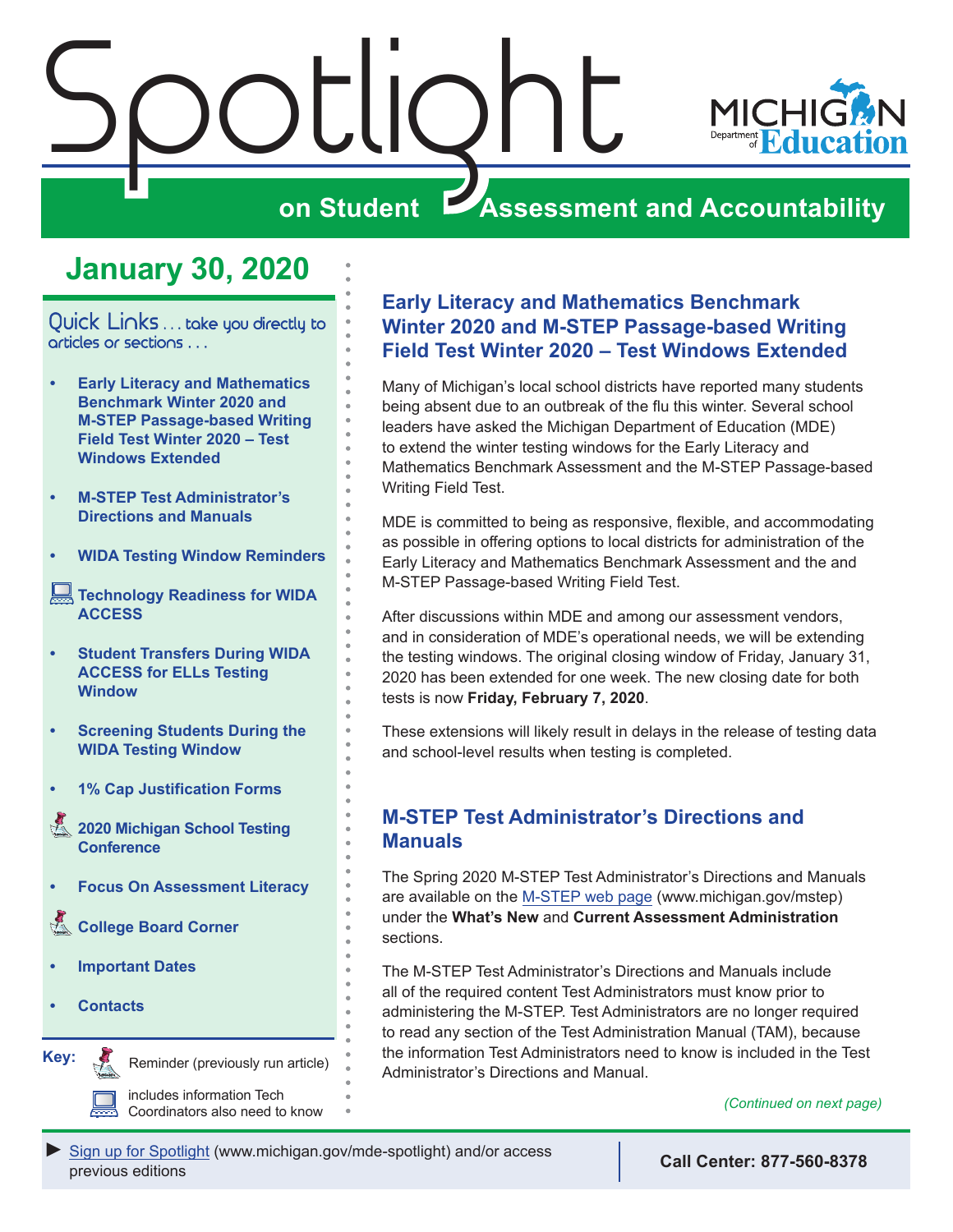<span id="page-0-0"></span>

## **on Student Assessment and Accountability**

## **January 30, 2020**

Quick Links ... take you directly to articles or sections . . .

- **• Early Literacy and Mathematics Benchmark Winter 2020 and M-STEP Passage-based Writing Field Test Winter 2020 – Test Windows Extended**
- **• M-STEP Test Administrator's Directions and Manuals**
- **• [WIDA Testing Window Reminders](#page-1-0)**
- **[Technology Readiness for WIDA](#page-1-0)  [ACCESS](#page-1-0)**
- **• [Student Transfers During WIDA](#page-2-0)  [ACCESS for ELLs Testing](#page-2-0)  [Window](#page-2-0)**
- **• [Screening Students During the](#page-2-0)  [WIDA Testing Window](#page-2-0)**
- **• [1% Cap Justification Forms](#page-2-0)**
- Reminders **[2020 Michigan School Testing](#page-2-0)  [Conference](#page-2-0)**
- **• [Focus On Assessment Literacy](#page-3-0)**
- **College Board Corner**
- **• [Important Dates](#page-6-0)**
- **• [Contacts](#page-7-0)**

Reminders

**Key:**

Reminder (previously run article)

includes information Tech Coordinators also need to know

#### **Early Literacy and Mathematics Benchmark Winter 2020 and M-STEP Passage-based Writing Field Test Winter 2020 – Test Windows Extended**

Many of Michigan's local school districts have reported many students being absent due to an outbreak of the flu this winter. Several school leaders have asked the Michigan Department of Education (MDE) to extend the winter testing windows for the Early Literacy and Mathematics Benchmark Assessment and the M-STEP Passage-based Writing Field Test.

MDE is committed to being as responsive, flexible, and accommodating as possible in offering options to local districts for administration of the Early Literacy and Mathematics Benchmark Assessment and the and M-STEP Passage-based Writing Field Test.

After discussions within MDE and among our assessment vendors, and in consideration of MDE's operational needs, we will be extending the testing windows. The original closing window of Friday, January 31, 2020 has been extended for one week. The new closing date for both tests is now **Friday, February 7, 2020**.

These extensions will likely result in delays in the release of testing data and school-level results when testing is completed.

#### **M-STEP Test Administrator's Directions and Manuals**

The Spring 2020 M-STEP Test Administrator's Directions and Manuals are available on the [M-STEP web page](www.michigan.gov/mstep) (www.michigan.gov/mstep) under the **What's New** and **Current Assessment Administration** sections.

The M-STEP Test Administrator's Directions and Manuals include all of the required content Test Administrators must know prior to administering the M-STEP. Test Administrators are no longer required to read any section of the Test Administration Manual (TAM), because the information Test Administrators need to know is included in the Test Administrator's Directions and Manual.

*(Continued on next page)*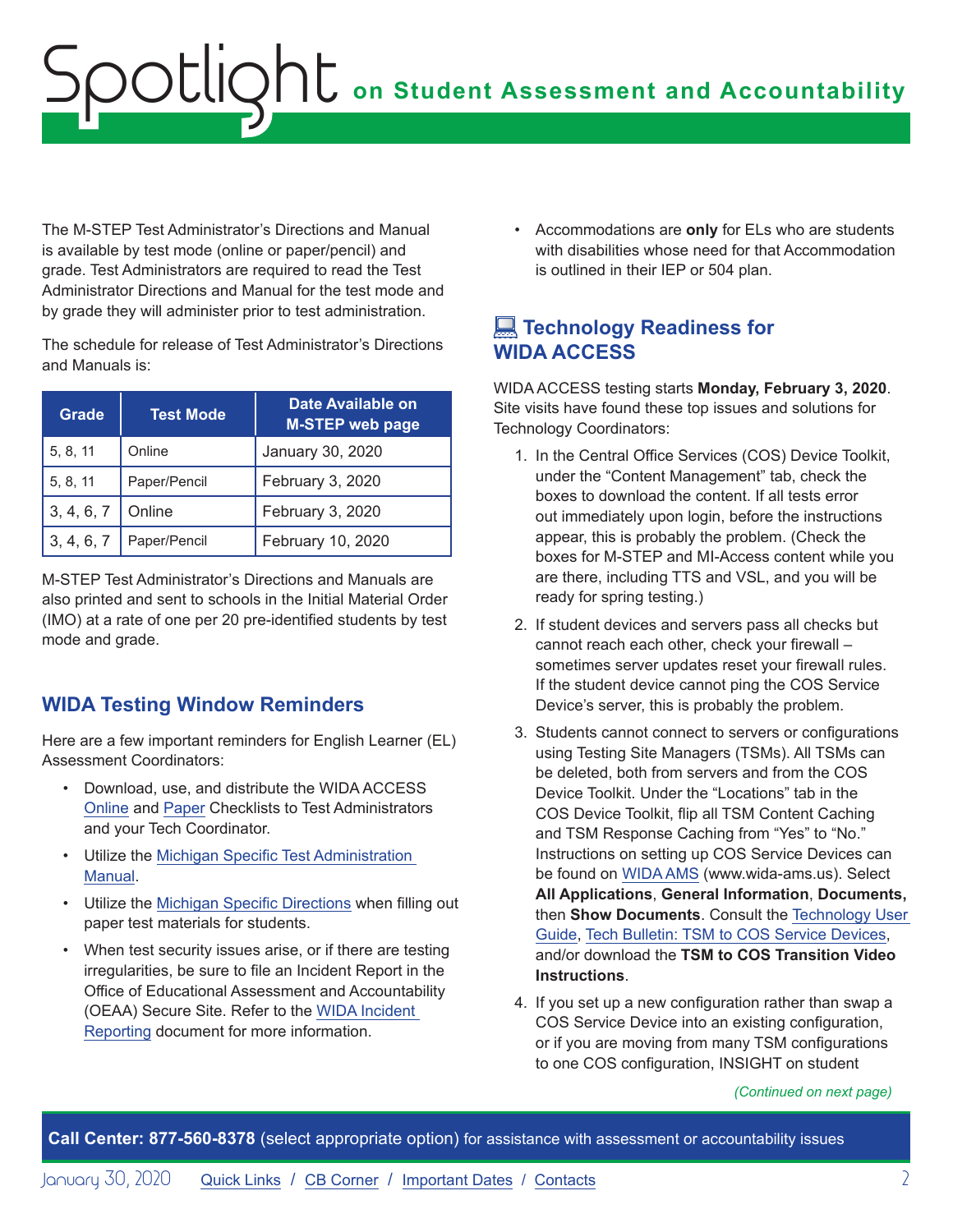<span id="page-1-0"></span>The M-STEP Test Administrator's Directions and Manual is available by test mode (online or paper/pencil) and grade. Test Administrators are required to read the Test Administrator Directions and Manual for the test mode and by grade they will administer prior to test administration.

The schedule for release of Test Administrator's Directions and Manuals is:

| <b>Grade</b> | <b>Test Mode</b> | Date Available on<br><b>M-STEP web page</b> |
|--------------|------------------|---------------------------------------------|
| 5, 8, 11     | Online           | January 30, 2020                            |
| 5, 8, 11     | Paper/Pencil     | February 3, 2020                            |
| 3, 4, 6, 7   | Online           | February 3, 2020                            |
| 3, 4, 6, 7   | Paper/Pencil     | February 10, 2020                           |

M-STEP Test Administrator's Directions and Manuals are also printed and sent to schools in the Initial Material Order (IMO) at a rate of one per 20 pre-identified students by test mode and grade.

#### **WIDA Testing Window Reminders**

Here are a few important reminders for English Learner (EL) Assessment Coordinators:

- Download, use, and distribute the [WIDA ACCESS](https://wida.wisc.edu/sites/default/files/checklists/MI-online-checklist.pdf)  [Online](https://wida.wisc.edu/sites/default/files/checklists/MI-online-checklist.pdf) and [Paper Checklists](https://wida.wisc.edu/sites/default/files/checklists/MI-paper-checklist.pdf) to Test Administrators and your Tech Coordinator.
- Utilize the [Michigan Specific Test Administration](https://www.michigan.gov/documents/mde/WIDA_Michigan_Specific_TAM_635431_7.pdf)  [Manual.](https://www.michigan.gov/documents/mde/WIDA_Michigan_Specific_TAM_635431_7.pdf)
- Utilize the [Michigan Specific Directions](https://wida.wisc.edu/sites/default/files/state-specific-directions/MI-State-Specific-Directions.pdf) when filling out paper test materials for students.
- When test security issues arise, or if there are testing irregularities, be sure to file an Incident Report in the Office of Educational Assessment and Accountability (OEAA) Secure Site. Refer to the [WIDA Incident](https://www.michigan.gov/documents/mde/WIDA_Incident_Report_Table-jl_550383_7.pdf)  [Reporting](https://www.michigan.gov/documents/mde/WIDA_Incident_Report_Table-jl_550383_7.pdf) document for more information.

• Accommodations are **only** for ELs who are students with disabilities whose need for that Accommodation is outlined in their IEP or 504 plan.

#### **Example Technology Readiness for WIDA ACCESS**

WIDA ACCESS testing starts **Monday, February 3, 2020**. Site visits have found these top issues and solutions for Technology Coordinators:

- 1. In the Central Office Services (COS) Device Toolkit, under the "Content Management" tab, check the boxes to download the content. If all tests error out immediately upon login, before the instructions appear, this is probably the problem. (Check the boxes for M-STEP and MI-Access content while you are there, including TTS and VSL, and you will be ready for spring testing.)
- 2. If student devices and servers pass all checks but cannot reach each other, check your firewall – sometimes server updates reset your firewall rules. If the student device cannot ping the COS Service Device's server, this is probably the problem.
- 3. Students cannot connect to servers or configurations using Testing Site Managers (TSMs). All TSMs can be deleted, both from servers and from the COS Device Toolkit. Under the "Locations" tab in the COS Device Toolkit, flip all TSM Content Caching and TSM Response Caching from "Yes" to "No." Instructions on setting up COS Service Devices can be found on [WIDA AMS](http://www.wida-ams.us) (www.wida-ams.us). Select **All Applications**, **General Information**, **Documents,**  then **Show Documents**. Consult the [Technology User](https://www.wida-ams.us/Documents/Unsecure/Doc.aspx?id=d42fa7fd-6f29-4444-ad7a-4eb6bf2c1de7)  [Guide,](https://www.wida-ams.us/Documents/Unsecure/Doc.aspx?id=d42fa7fd-6f29-4444-ad7a-4eb6bf2c1de7) [Tech Bulletin: TSM to COS Service Devices,](https://www.wida-ams.us/Documents/Unsecure/Doc.aspx?id=b875f3b0-a352-47e8-bbcf-75346bc1c67f) and/or download the **TSM to COS Transition Video Instructions**.
- 4. If you set up a new configuration rather than swap a COS Service Device into an existing configuration, or if you are moving from many TSM configurations to one COS configuration, INSIGHT on student

*(Continued on next page)*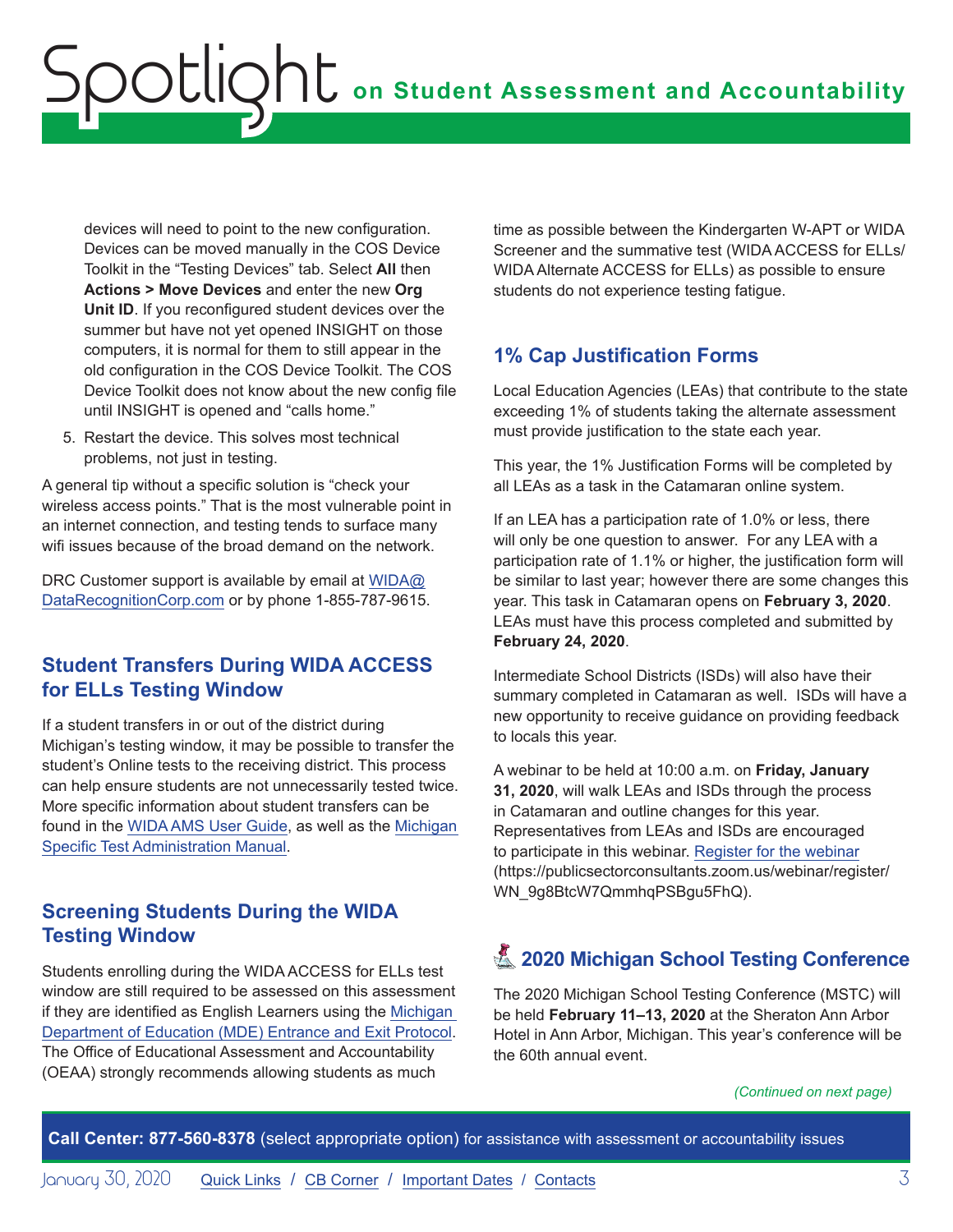<span id="page-2-0"></span>devices will need to point to the new configuration. Devices can be moved manually in the COS Device Toolkit in the "Testing Devices" tab. Select **All** then **Actions > Move Devices** and enter the new **Org Unit ID**. If you reconfigured student devices over the summer but have not yet opened INSIGHT on those computers, it is normal for them to still appear in the old configuration in the COS Device Toolkit. The COS Device Toolkit does not know about the new config file until INSIGHT is opened and "calls home."

5. Restart the device. This solves most technical problems, not just in testing.

A general tip without a specific solution is "check your wireless access points." That is the most vulnerable point in an internet connection, and testing tends to surface many wifi issues because of the broad demand on the network.

DRC Customer support is available by email at [WIDA@](mailto:WIDA%40DataRecognitionCorp.com?subject=) [DataRecognitionCorp.com](mailto:WIDA%40DataRecognitionCorp.com?subject=) or by phone 1-855-787-9615.

#### **Student Transfers During WIDA ACCESS for ELLs Testing Window**

If a student transfers in or out of the district during Michigan's testing window, it may be possible to transfer the student's Online tests to the receiving district. This process can help ensure students are not unnecessarily tested twice. More specific information about student transfers can be found in the [WIDA AMS User Guide,](https://www.wida-ams.us/Documents/Unsecure/Doc.aspx?id=e57f5b6e-9eb6-4aea-891f-d8417fc96998) as well as the [Michigan](https://www.michigan.gov/documents/mde/WIDA_Michigan_Specific_TAM_635431_7.pdf)  [Specific Test Administration Manual](https://www.michigan.gov/documents/mde/WIDA_Michigan_Specific_TAM_635431_7.pdf).

#### **Screening Students During the WIDA Testing Window**

Students enrolling during the WIDA ACCESS for ELLs test window are still required to be assessed on this assessment if they are identified as English Learners using the [Michigan](https://www.michigan.gov/documents/mde/Entrance_and_Exit_Protocol_updated_May_2016_550634_7.pdf)  [Department of Education \(MDE\) Entrance and Exit Protocol](https://www.michigan.gov/documents/mde/Entrance_and_Exit_Protocol_updated_May_2016_550634_7.pdf). The Office of Educational Assessment and Accountability (OEAA) strongly recommends allowing students as much

time as possible between the Kindergarten W-APT or WIDA Screener and the summative test (WIDA ACCESS for ELLs/ WIDA Alternate ACCESS for ELLs) as possible to ensure students do not experience testing fatigue.

#### **1% Cap Justification Forms**

Local Education Agencies (LEAs) that contribute to the state exceeding 1% of students taking the alternate assessment must provide justification to the state each year.

This year, the 1% Justification Forms will be completed by all LEAs as a task in the Catamaran online system.

If an LEA has a participation rate of 1.0% or less, there will only be one question to answer. For any LEA with a participation rate of 1.1% or higher, the justification form will be similar to last year; however there are some changes this year. This task in Catamaran opens on **February 3, 2020**. LEAs must have this process completed and submitted by **February 24, 2020**.

Intermediate School Districts (ISDs) will also have their summary completed in Catamaran as well. ISDs will have a new opportunity to receive guidance on providing feedback to locals this year.

A webinar to be held at 10:00 a.m. on **Friday, January 31, 2020**, will walk LEAs and ISDs through the process in Catamaran and outline changes for this year. Representatives from LEAs and ISDs are encouraged to participate in this webinar. [Register for the webinar](https://publicsectorconsultants.zoom.us/webinar/register/WN_9g8BtcW7QmmhqPSBgu5FhQ) (https://publicsectorconsultants.zoom.us/webinar/register/ WN\_9g8BtcW7QmmhqPSBgu5FhQ).

## **Z** 2020 Michigan School Testing Conference

The 2020 Michigan School Testing Conference (MSTC) will be held **February 11–13, 2020** at the Sheraton Ann Arbor Hotel in Ann Arbor, Michigan. This year's conference will be the 60th annual event.

*(Continued on next page)*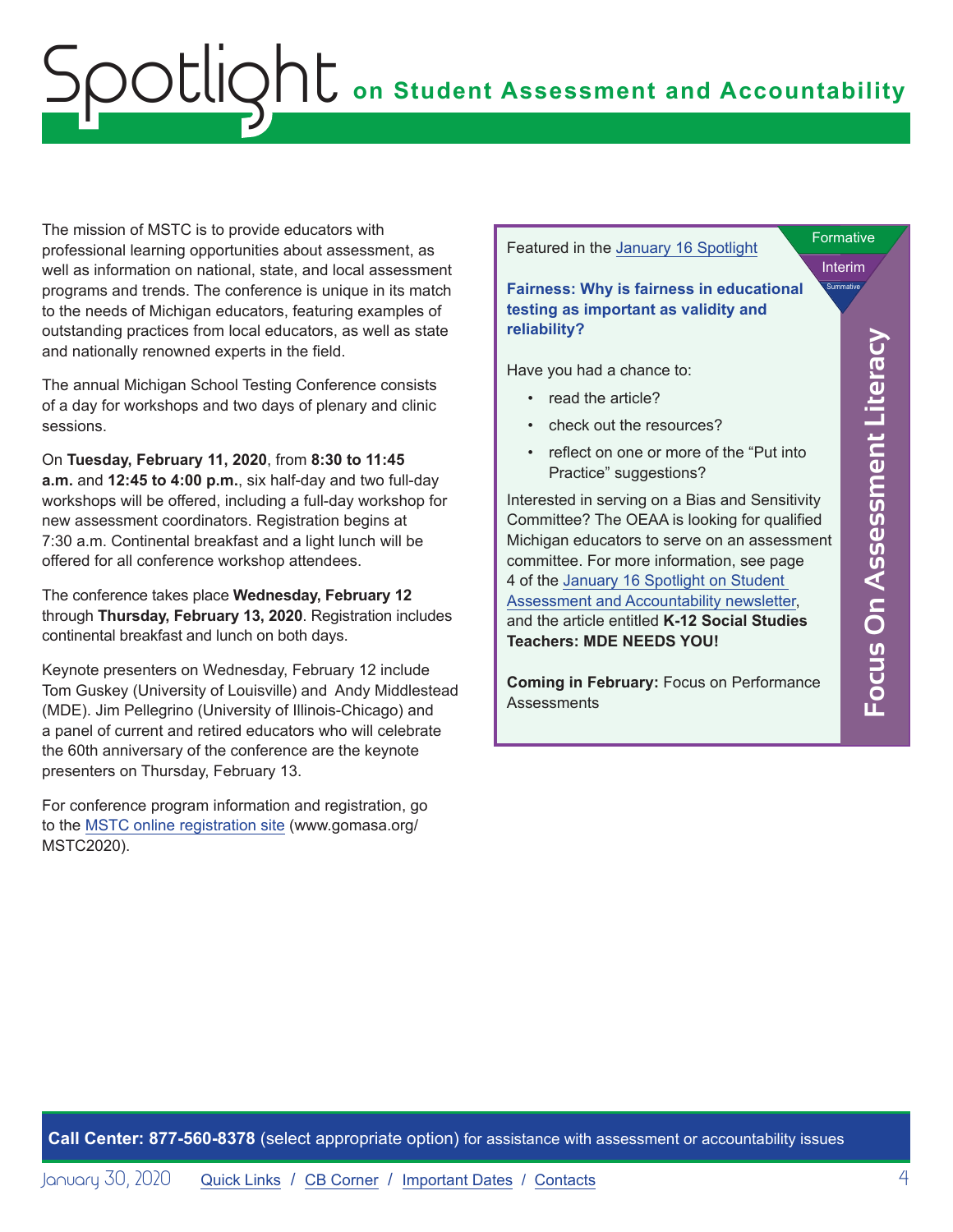<span id="page-3-0"></span>The mission of MSTC is to provide educators with professional learning opportunities about assessment, as well as information on national, state, and local assessment programs and trends. The conference is unique in its match to the needs of Michigan educators, featuring examples of outstanding practices from local educators, as well as state and nationally renowned experts in the field.

The annual Michigan School Testing Conference consists of a day for workshops and two days of plenary and clinic sessions.

On **Tuesday, February 11, 2020**, from **8:30 to 11:45 a.m.** and **12:45 to 4:00 p.m.**, six half-day and two full-day workshops will be offered, including a full-day workshop for new assessment coordinators. Registration begins at 7:30 a.m. Continental breakfast and a light lunch will be offered for all conference workshop attendees.

The conference takes place **Wednesday, February 12** through **Thursday, February 13, 2020**. Registration includes continental breakfast and lunch on both days.

Keynote presenters on Wednesday, February 12 include Tom Guskey (University of Louisville) and Andy Middlestead (MDE). Jim Pellegrino (University of Illinois-Chicago) and a panel of current and retired educators who will celebrate the 60th anniversary of the conference are the keynote presenters on Thursday, February 13.

For conference program information and registration, go to the [MSTC online registration site](http://www.gomasa.org/MSTC2020) (www.gomasa.org/ MSTC2020).

Featured in the [January 16 Spotlight](https://www.michigan.gov/documents/mde/Spotlight_1-16-20_678716_7.pdf)

Interim **Formative Summative** 

**Focus On Assessment Literacy**

Focus On Assessment Literacy

**Fairness: Why is fairness in educational testing as important as validity and reliability?** 

Have you had a chance to:

- read the article?
- check out the resources?
- reflect on one or more of the "Put into Practice" suggestions?

Interested in serving on a Bias and Sensitivity Committee? The OEAA is looking for qualified Michigan educators to serve on an assessment committee. For more information, see page 4 of the [January 16 Spotlight on Student](https://www.michigan.gov/documents/mde/Spotlight_1-16-20_678716_7.pdf)  [Assessment and Accountability newsletter](https://www.michigan.gov/documents/mde/Spotlight_1-16-20_678716_7.pdf), and the article entitled **K-12 Social Studies Teachers: MDE NEEDS YOU!**

**Coming in February:** Focus on Performance **Assessments**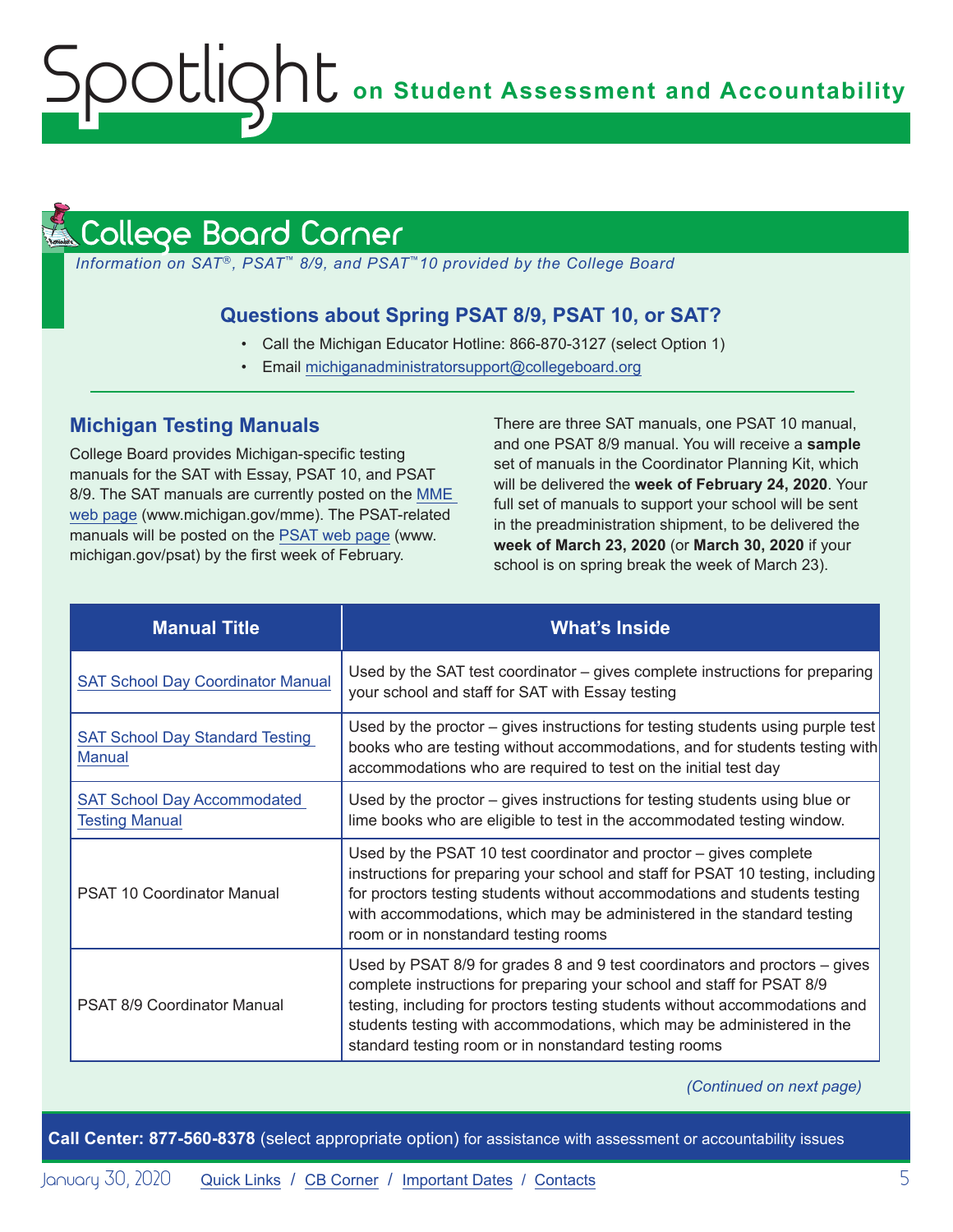# **ONU** on Student Assessment and Accountability

#### <span id="page-4-1"></span>llege Board Corner **Reminders**

<span id="page-4-0"></span>potlic

*Information on SAT*®*, PSAT*™ *8/9, and PSAT*™*10 provided by the College Board*

#### **Questions about Spring PSAT 8/9, PSAT 10, or SAT?**

- Call the Michigan Educator Hotline: 866-870-3127 (select Option 1)
- Email [michiganadministratorsupport@collegeboard.org](mailto:michiganadministratorsupport%40collegeboard.org?subject=)

#### **Michigan Testing Manuals**

College Board provides Michigan-specific testing manuals for the SAT with Essay, PSAT 10, and PSAT 8/9. The SAT manuals are currently posted on the [MME](www.michigan.gov/mme)  [web page](www.michigan.gov/mme) (www.michigan.gov/mme). The PSAT-related manuals will be posted on the [PSAT web page](http://www.michigan.gov/psat) (www. michigan.gov/psat) by the first week of February.

There are three SAT manuals, one PSAT 10 manual, and one PSAT 8/9 manual. You will receive a **sample** set of manuals in the Coordinator Planning Kit, which will be delivered the **week of February 24, 2020**. Your full set of manuals to support your school will be sent in the preadministration shipment, to be delivered the **week of March 23, 2020** (or **March 30, 2020** if your school is on spring break the week of March 23).

| <b>Manual Title</b>                                         | <b>What's Inside</b>                                                                                                                                                                                                                                                                                                                                                   |
|-------------------------------------------------------------|------------------------------------------------------------------------------------------------------------------------------------------------------------------------------------------------------------------------------------------------------------------------------------------------------------------------------------------------------------------------|
| <b>SAT School Day Coordinator Manual</b>                    | Used by the SAT test coordinator – gives complete instructions for preparing<br>your school and staff for SAT with Essay testing                                                                                                                                                                                                                                       |
| <b>SAT School Day Standard Testing</b><br><b>Manual</b>     | Used by the proctor - gives instructions for testing students using purple test<br>books who are testing without accommodations, and for students testing with<br>accommodations who are required to test on the initial test day                                                                                                                                      |
| <b>SAT School Day Accommodated</b><br><b>Testing Manual</b> | Used by the proctor $-$ gives instructions for testing students using blue or<br>lime books who are eligible to test in the accommodated testing window.                                                                                                                                                                                                               |
| <b>PSAT 10 Coordinator Manual</b>                           | Used by the PSAT 10 test coordinator and proctor – gives complete<br>instructions for preparing your school and staff for PSAT 10 testing, including<br>for proctors testing students without accommodations and students testing<br>with accommodations, which may be administered in the standard testing<br>room or in nonstandard testing rooms                    |
| <b>PSAT 8/9 Coordinator Manual</b>                          | Used by PSAT 8/9 for grades 8 and 9 test coordinators and proctors – gives<br>complete instructions for preparing your school and staff for PSAT 8/9<br>testing, including for proctors testing students without accommodations and<br>students testing with accommodations, which may be administered in the<br>standard testing room or in nonstandard testing rooms |

*(Continued on next page)*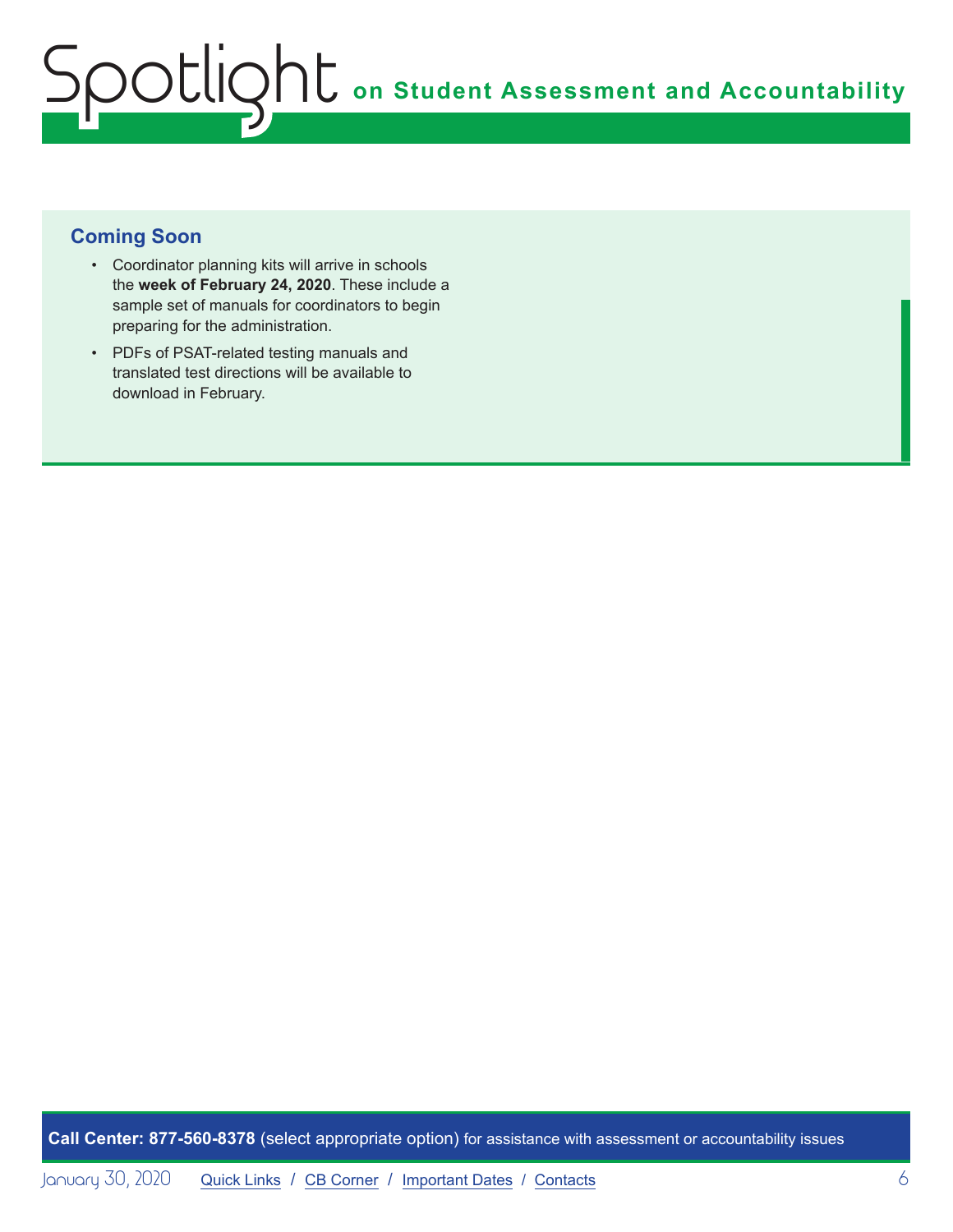#### **Coming Soon**

- Coordinator planning kits will arrive in schools the **week of February 24, 2020**. These include a sample set of manuals for coordinators to begin preparing for the administration.
- PDFs of PSAT-related testing manuals and translated test directions will be available to download in February.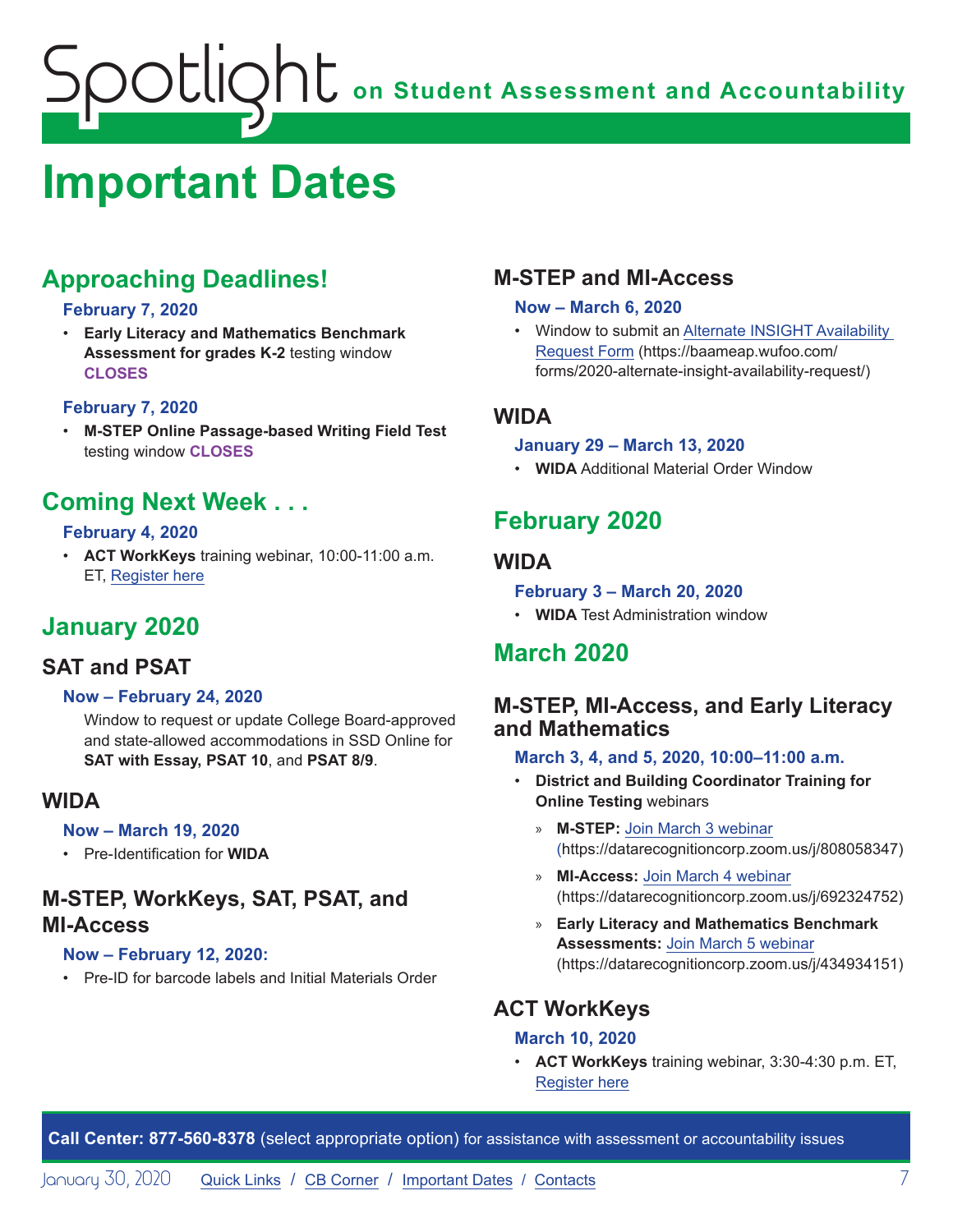## <span id="page-6-1"></span><span id="page-6-0"></span>**Important Dates**

## **Approaching Deadlines!**

#### **February 7, 2020**

• **Early Literacy and Mathematics Benchmark Assessment for grades K-2** testing window **CLOSES**

#### **February 7, 2020**

• **M-STEP Online Passage-based Writing Field Test** testing window **CLOSES**

### **Coming Next Week . . .**

#### **February 4, 2020**

• **ACT WorkKeys** training webinar, 10:00-11:00 a.m. ET, [Register here](https://event.on24.com/wcc/r/2124038/11177BB2C08057557E1BDD10CF935708)

## **January 2020**

#### **SAT and PSAT**

#### **Now – February 24, 2020**

Window to request or update College Board-approved and state-allowed accommodations in SSD Online for **SAT with Essay, PSAT 10**, and **PSAT 8/9**.

#### **WIDA**

#### **Now – March 19, 2020**

• Pre-Identification for **WIDA**

#### **M-STEP, WorkKeys, SAT, PSAT, and MI-Access**

#### **Now – February 12, 2020:**

• Pre-ID for barcode labels and Initial Materials Order

#### **M-STEP and MI-Access**

#### **Now – March 6, 2020**

• Window to submit an [Alternate INSIGHT Availability](https://baameap.wufoo.com/forms/2020-alternate-insight-availability-request/)  [Request Form](https://baameap.wufoo.com/forms/2020-alternate-insight-availability-request/) (https://baameap.wufoo.com/ forms/2020-alternate-insight-availability-request/)

#### **WIDA**

#### **January 29 – March 13, 2020**

• **WIDA** Additional Material Order Window

## **February 2020**

#### **WIDA**

#### **February 3 – March 20, 2020**

• **WIDA** Test Administration window

### **March 2020**

#### **M-STEP, MI-Access, and Early Literacy and Mathematics**

#### **March 3, 4, and 5, 2020, 10:00–11:00 a.m.**

- **District and Building Coordinator Training for Online Testing** webinars
	- » **M-STEP:** [Join March 3 webinar](https://datarecognitioncorp.zoom.us/j/808058347) (https://datarecognitioncorp.zoom.us/j/808058347)
	- » **MI-Access:** [Join March 4 webinar](https://datarecognitioncorp.zoom.us/j/692324752) (https://datarecognitioncorp.zoom.us/j/692324752)
	- » **Early Literacy and Mathematics Benchmark Assessments:** [Join March 5 webinar](https://datarecognitioncorp.zoom.us/j/434934151) (https://datarecognitioncorp.zoom.us/j/434934151)

#### **ACT WorkKeys**

#### **March 10, 2020**

• **ACT WorkKeys** training webinar, 3:30-4:30 p.m. ET, [Register here](https://event.on24.com/wcc/r/2124036/C50E209AAEDE2B03029BDE55DA459C17)